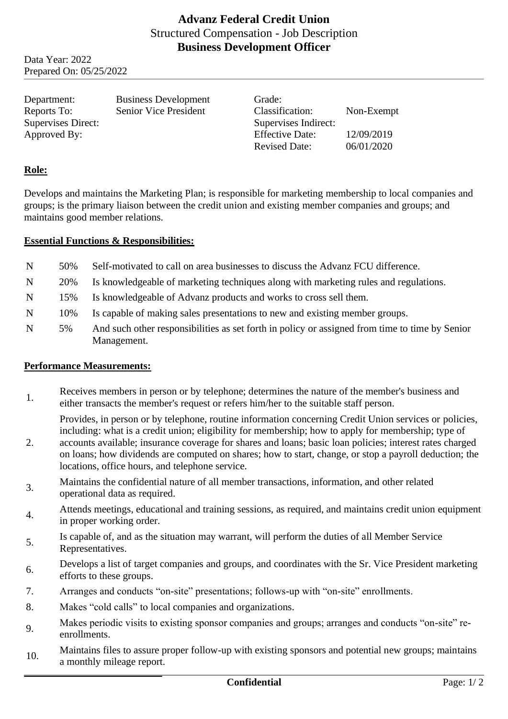Data Year: 2022 Prepared On: 05/25/2022

Department: Business Development Grade: Reports To: Senior Vice President Classification: Non-Exempt Supervises Direct: Supervises Indirect: Approved By: Effective Date: 12/09/2019

Revised Date: 06/01/2020

## **Role:**

Develops and maintains the Marketing Plan; is responsible for marketing membership to local companies and groups; is the primary liaison between the credit union and existing member companies and groups; and maintains good member relations.

## **Essential Functions & Responsibilities:**

- N 50% Self-motivated to call on area businesses to discuss the Advanz FCU difference.
- N 20% Is knowledgeable of marketing techniques along with marketing rules and regulations.
- N 15% Is knowledgeable of Advanz products and works to cross sell them.
- N 10% Is capable of making sales presentations to new and existing member groups.
- N 5% And such other responsibilities as set forth in policy or assigned from time to time by Senior Management.

## **Performance Measurements:**

1. Receives members in person or by telephone; determines the nature of the member's business and either transacts the member's request or refers him/her to the suitable staff person.

Provides, in person or by telephone, routine information concerning Credit Union services or policies, including: what is a credit union; eligibility for membership; how to apply for membership; type of

- 2. accounts available; insurance coverage for shares and loans; basic loan policies; interest rates charged on loans; how dividends are computed on shares; how to start, change, or stop a payroll deduction; the locations, office hours, and telephone service.
- 3. Maintains the confidential nature of all member transactions, information, and other related operational data as required.
- Attends meetings, educational and training sessions, as required, and maintains credit union equipment in proper working order.
- 5. Is capable of, and as the situation may warrant, will perform the duties of all Member Service Representatives.
- 6. Develops a list of target companies and groups, and coordinates with the Sr. Vice President marketing efforts to these groups.
- 7. Arranges and conducts "on-site" presentations; follows-up with "on-site" enrollments.
- 8. Makes "cold calls" to local companies and organizations.
- 9. Makes periodic visits to existing sponsor companies and groups; arranges and conducts "on-site" reenrollments.
- 10. Maintains files to assure proper follow-up with existing sponsors and potential new groups; maintains a monthly mileage report.